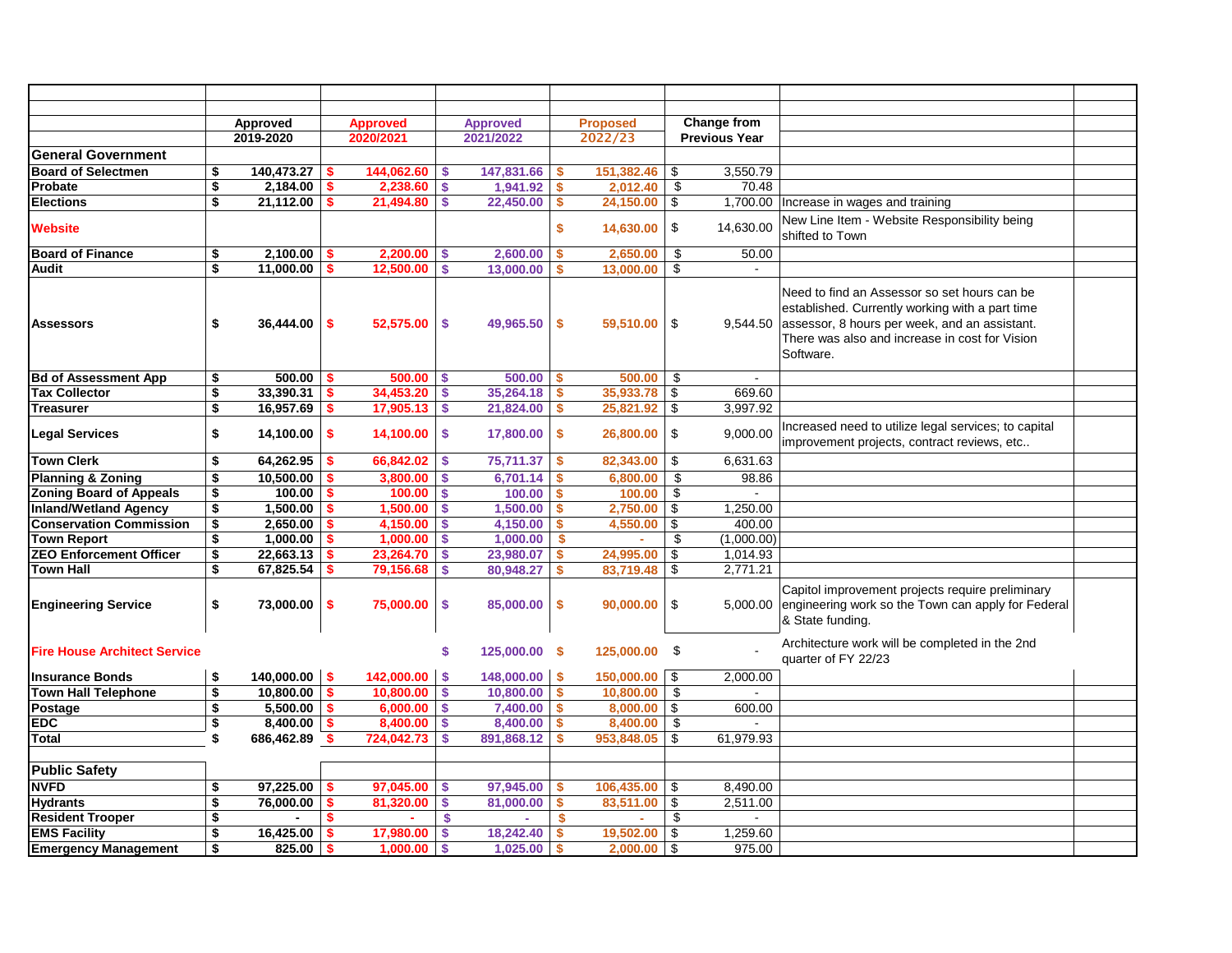|                                     | Approved            |      | <b>Approved</b> |                           | <b>Approved</b> |                           | <b>Proposed</b>  |            | Change from          |                                                                                                                                                                                                                 |  |
|-------------------------------------|---------------------|------|-----------------|---------------------------|-----------------|---------------------------|------------------|------------|----------------------|-----------------------------------------------------------------------------------------------------------------------------------------------------------------------------------------------------------------|--|
|                                     | 2019-2020           |      | 2020/2021       |                           | 2021/2022       |                           | 2022/23          |            | <b>Previous Year</b> |                                                                                                                                                                                                                 |  |
| <b>General Government</b>           |                     |      |                 |                           |                 |                           |                  |            |                      |                                                                                                                                                                                                                 |  |
| <b>Board of Selectmen</b>           | \$<br>140,473.27    | \$   | 144,062.60      | \$                        | 147,831.66      | \$                        | 151,382.46       | -\$        | 3,550.79             |                                                                                                                                                                                                                 |  |
| Probate                             | \$<br>2,184.00      | \$   | 2.238.60        | S.                        | 1,941.92        | $\mathbf{s}$              | 2,012.40         | \$         | 70.48                |                                                                                                                                                                                                                 |  |
| <b>Elections</b>                    | \$<br>21,112.00     | \$   | 21,494.80       | \$                        | 22,450.00       | \$                        | $24,150.00$ \\$  |            | 1,700.00             | Increase in wages and training                                                                                                                                                                                  |  |
| <b>Website</b>                      |                     |      |                 |                           |                 | \$                        | 14,630.00        | \$         | 14,630.00            | New Line Item - Website Responsibility being<br>shifted to Town                                                                                                                                                 |  |
| <b>Board of Finance</b>             | \$<br>2,100.00      | \$   | 2.200.00        | <b>S</b>                  | 2.600.00        | $\boldsymbol{\mathsf{s}}$ | 2,650.00         | \$         | 50.00                |                                                                                                                                                                                                                 |  |
| Audit                               | \$<br>11,000.00     | \$   | 12,500.00       | \$                        | 13,000.00       | \$                        | 13,000.00        | \$         | $\sim$               |                                                                                                                                                                                                                 |  |
| <b>Assessors</b>                    | \$<br>36,444.00     | \$   | 52,575.00       | -\$                       | 49,965.50       | -\$                       | $59,510.00$ \\$  |            | 9,544.50             | Need to find an Assessor so set hours can be<br>established. Currently working with a part time<br>assessor, 8 hours per week, and an assistant.<br>There was also and increase in cost for Vision<br>Software. |  |
| <b>Bd of Assessment App</b>         | \$<br>500.00        | -\$  | $500.00$ \$     |                           | 500.00          | -\$                       | 500.00           | \$         | $\sim$               |                                                                                                                                                                                                                 |  |
| <b>Tax Collector</b>                | \$<br>33,390.31     | \$.  | 34,453.20       | $\boldsymbol{\mathsf{s}}$ | 35,264.18       | -\$                       | $35,933.78$ \$   |            | 669.60               |                                                                                                                                                                                                                 |  |
| <b>Treasurer</b>                    | \$<br>16,957.69     | S    | 17,905.13       | $\mathbf{s}$              | 21,824.00       | -S                        | $25,821.92$ \$   |            | 3,997.92             |                                                                                                                                                                                                                 |  |
| <b>Legal Services</b>               | \$<br>14,100.00     | \$   | 14,100.00       | \$                        | 17,800.00       | $\boldsymbol{\mathsf{s}}$ | 26,800.00        | -\$        | 9,000.00             | Increased need to utilize legal services; to capital<br>improvement projects, contract reviews, etc                                                                                                             |  |
| <b>Town Clerk</b>                   | \$<br>64,262.95     | -\$  | 66,842.02       | \$                        | 75,711.37       | \$                        | 82,343.00        | \$         | 6,631.63             |                                                                                                                                                                                                                 |  |
| <b>Planning &amp; Zoning</b>        | \$<br>10,500.00     |      | 3,800.00        | \$                        | 6,701.14        | -S                        | 6,800.00         | -\$        | 98.86                |                                                                                                                                                                                                                 |  |
| <b>Zoning Board of Appeals</b>      | \$<br>100.00        | S    | 100.00          | <b>S</b>                  | 100.00          | -\$                       | 100.00           | \$         | $\sim$               |                                                                                                                                                                                                                 |  |
| <b>Inland/Wetland Agency</b>        | \$<br>1,500.00      |      | 1,500.00        | S.                        | 1,500.00        | <b>S</b>                  | $2,750.00$ \$    |            | 1,250.00             |                                                                                                                                                                                                                 |  |
| <b>Conservation Commission</b>      | \$<br>2,650.00      | S    | 4,150.00        | \$                        | 4,150.00        | \$                        | $4,550.00$ \$    |            | 400.00               |                                                                                                                                                                                                                 |  |
| <b>Town Report</b>                  | \$<br>1,000.00      |      | 1,000.00        | \$                        | 1,000.00        | <b>S</b>                  | $\mathbf{r}$     | \$         | (1,000.00)           |                                                                                                                                                                                                                 |  |
| <b>ZEO Enforcement Officer</b>      | \$<br>22,663.13     | \$   | 23,264.70       | \$                        | 23,980.07       | \$                        | 24,995.00        | \$         | 1,014.93             |                                                                                                                                                                                                                 |  |
| <b>Town Hall</b>                    | \$<br>67,825.54     |      | 79,156.68       | \$                        | 80,948.27       | \$                        | 83,719.48        | $\sqrt{3}$ | 2,771.21             |                                                                                                                                                                                                                 |  |
| <b>Engineering Service</b>          | \$<br>73,000.00     | \$   | 75,000.00       | \$                        | 85,000.00       | $\frac{1}{2}$             | 90,000.00        | \$         | 5,000.00             | Capitol improvement projects require preliminary<br>engineering work so the Town can apply for Federal<br>& State funding.                                                                                      |  |
| <b>Fire House Architect Service</b> |                     |      |                 | \$                        | 125,000.00 \$   |                           | 125,000.00 \$    |            |                      | Architecture work will be completed in the 2nd<br>quarter of FY 22/23                                                                                                                                           |  |
| <b>Insurance Bonds</b>              | \$<br>140,000.00    | l \$ | 142,000.00      | \$                        | $148,000.00$ \$ |                           | $150,000.00$ \$  |            | 2,000.00             |                                                                                                                                                                                                                 |  |
| <b>Town Hall Telephone</b>          | \$<br>10,800.00     | -S   | 10,800.00       | \$                        | 10,800.00       | $\mathbf{s}$              | $10,800.00$ \$   |            |                      |                                                                                                                                                                                                                 |  |
| Postage                             | \$<br>5,500.00      | -\$  | $6.000.00$ \ \$ |                           | $7,400.00$ \$   |                           | $8,000.00$ \ \$  |            | 600.00               |                                                                                                                                                                                                                 |  |
| <b>EDC</b>                          | \$<br>8,400.00      | -\$  | 8,400.00        | \$                        | 8,400.00        | $\boldsymbol{\mathsf{s}}$ | $8,400.00$ \$    |            |                      |                                                                                                                                                                                                                 |  |
| Total                               | \$<br>686,462.89 \$ |      | 724,042.73      | S                         | 891,868.12      | -\$                       | 953,848.05 \$    |            | 61,979.93            |                                                                                                                                                                                                                 |  |
|                                     |                     |      |                 |                           |                 |                           |                  |            |                      |                                                                                                                                                                                                                 |  |
| <b>Public Safety</b>                |                     |      |                 |                           |                 |                           |                  |            |                      |                                                                                                                                                                                                                 |  |
| <b>NVFD</b>                         | \$<br>97,225.00     | \$   | 97,045.00       | \$                        | 97,945.00       | \$                        | $106,435.00$ \$  |            | 8,490.00             |                                                                                                                                                                                                                 |  |
| <b>Hydrants</b>                     | \$<br>76.000.00     | \$   | 81.320.00       | \$                        | 81,000.00       | \$                        | 83,511.00        | $\sqrt{3}$ | 2,511.00             |                                                                                                                                                                                                                 |  |
| <b>Resident Trooper</b>             | \$                  | \$   |                 | \$                        |                 | \$                        |                  | \$         | $\sim$               |                                                                                                                                                                                                                 |  |
| <b>EMS Facility</b>                 | \$<br>16.425.00     | \$.  | 17.980.00       | <b>S</b>                  | 18.242.40       | \$                        | $19.502.00$ \ \$ |            | 1.259.60             |                                                                                                                                                                                                                 |  |
| <b>Emergency Management</b>         | \$<br>825.00        | \$.  | 1.000.00        | \$                        | 1,025.00        | <b>S</b>                  | $2,000.00$ \$    |            | 975.00               |                                                                                                                                                                                                                 |  |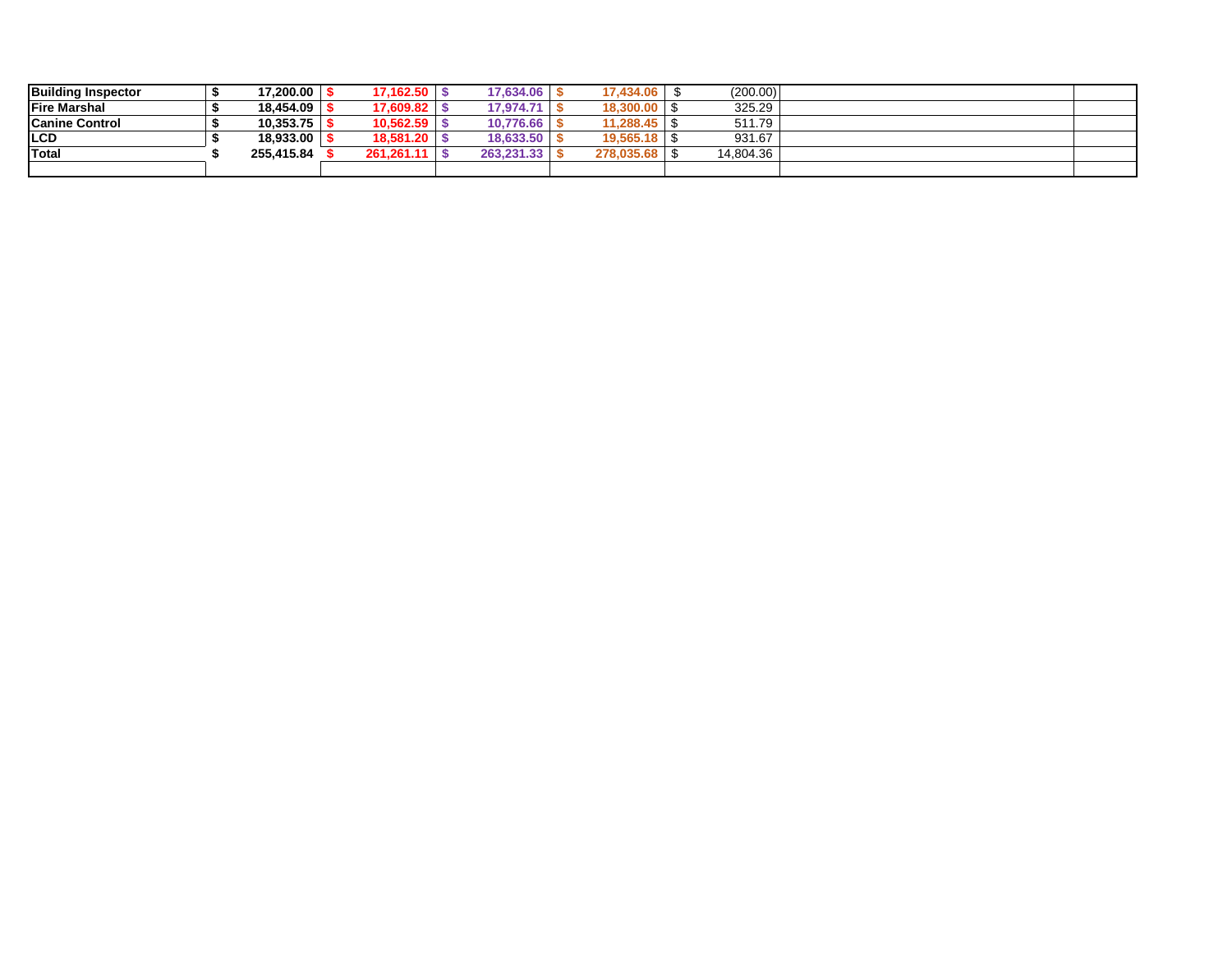| <b>Building Inspector</b> | $'7,200.00$   $\sim$ | 17,162.50  | 17.634.06  | 17,434.06       | (200.00)  |  |
|---------------------------|----------------------|------------|------------|-----------------|-----------|--|
| <b>IFire Marshal</b>      | 18.454.09            | 17,609.82  | 17.974.71  | 18,300.00       | 325.29    |  |
| <b>Canine Control</b>     | 10.353.75            | 10.562.59  | 10.776.66  | 11,288.45       | 511.79    |  |
| <b>ILCD</b>               | 18,933.00            | 18.581.20  | 18.633.50  | $19.565.18$ \\$ | 931.67    |  |
| Total                     | 255.415.84           | 261.261.11 | 263.231.33 | 278.035.68      | 14,804.36 |  |
|                           |                      |            |            |                 |           |  |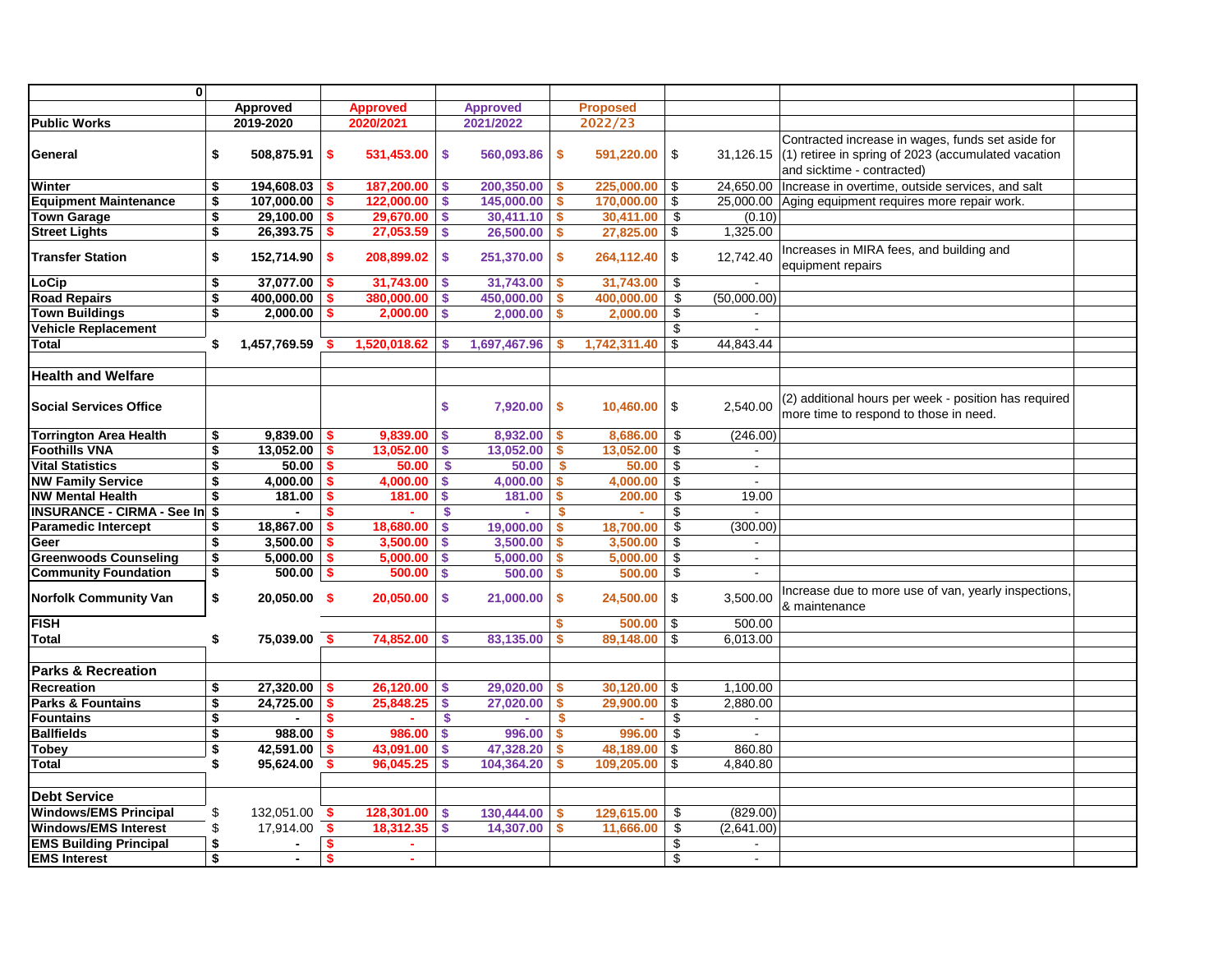| $\mathbf{0}$                      |                                      |                |                           |                 |                           |                              |              |                 |              |                |                                                                                                 |  |
|-----------------------------------|--------------------------------------|----------------|---------------------------|-----------------|---------------------------|------------------------------|--------------|-----------------|--------------|----------------|-------------------------------------------------------------------------------------------------|--|
|                                   |                                      | Approved       |                           | <b>Approved</b> |                           |                              |              | <b>Proposed</b> |              |                |                                                                                                 |  |
| <b>Public Works</b>               |                                      | 2019-2020      |                           | 2020/2021       |                           | <b>Approved</b><br>2021/2022 |              | 2022/23         |              |                |                                                                                                 |  |
|                                   |                                      |                |                           |                 |                           |                              |              |                 |              |                |                                                                                                 |  |
|                                   |                                      |                |                           |                 |                           |                              |              |                 |              |                | Contracted increase in wages, funds set aside for                                               |  |
| General                           | \$                                   | 508,875.91     | \$                        | 531,453.00      | \$                        | 560,093.86                   | \$           | 591,220.00 \$   |              |                | 31,126.15 $(1)$ retiree in spring of 2023 (accumulated vacation                                 |  |
|                                   |                                      |                |                           |                 |                           |                              |              |                 |              |                | and sicktime - contracted)                                                                      |  |
| Winter                            | \$                                   | 194,608.03     |                           | 187,200.00      | $\boldsymbol{\mathsf{s}}$ | 200,350.00                   |              | 225,000.00      | \$           | 24.650.00      | Increase in overtime, outside services, and salt                                                |  |
| <b>Equipment Maintenance</b>      | \$                                   | 107,000.00     | \$                        | 122.000.00      | \$                        | 145,000.00                   | \$           | 170,000,00      | $\mathsf{S}$ |                | 25,000.00 Aging equipment requires more repair work.                                            |  |
| <b>Town Garage</b>                | $\overline{\boldsymbol{\mathsf{s}}}$ | 29,100.00      | \$                        | 29,670.00       | $\mathbf{s}$              | 30,411.10                    | \$           | 30,411.00       | \$           | (0.10)         |                                                                                                 |  |
| <b>Street Lights</b>              | $\overline{\boldsymbol{\mathsf{s}}}$ | 26,393.75      | $\boldsymbol{\mathsf{s}}$ | 27,053.59       | \$                        | 26,500.00                    | \$           | $27,825.00$ \$  |              | 1,325.00       |                                                                                                 |  |
| <b>Transfer Station</b>           | \$                                   | 152,714.90     | \$                        | 208,899.02      | \$                        | 251,370.00                   | \$           | $264,112.40$ \$ |              | 12,742.40      | Increases in MIRA fees, and building and<br>equipment repairs                                   |  |
| LoCip                             | $\overline{\boldsymbol{\mathsf{s}}}$ | 37,077.00      | \$                        | 31,743.00       | $\mathbf{s}$              | 31,743.00                    | S.           | 31,743.00       | \$           |                |                                                                                                 |  |
| <b>Road Repairs</b>               | \$                                   | 400,000.00     | \$                        | 380,000.00      | $\boldsymbol{\mathsf{s}}$ | 450,000.00                   | \$           | 400,000.00      | \$           | (50,000.00)    |                                                                                                 |  |
| <b>Town Buildings</b>             | \$                                   | 2,000.00       | \$                        | 2,000.00        | \$                        | $2,000.00$ \$                |              | 2,000.00        | \$           |                |                                                                                                 |  |
| <b>Vehicle Replacement</b>        |                                      |                |                           |                 |                           |                              |              |                 | \$           |                |                                                                                                 |  |
| <b>Total</b>                      | \$                                   | 1,457,769.59   |                           | 1,520,018.62    | <b>S</b>                  | 1,697,467.96                 | S.           | 1,742,311.40    | \$           | 44,843.44      |                                                                                                 |  |
|                                   |                                      |                |                           |                 |                           |                              |              |                 |              |                |                                                                                                 |  |
| <b>Health and Welfare</b>         |                                      |                |                           |                 |                           |                              |              |                 |              |                |                                                                                                 |  |
|                                   |                                      |                |                           |                 |                           |                              |              |                 |              |                |                                                                                                 |  |
| <b>Social Services Office</b>     |                                      |                |                           |                 | \$                        | 7,920.00                     | \$           | $10,460.00$ \$  |              | 2.540.00       | (2) additional hours per week - position has required<br>more time to respond to those in need. |  |
| <b>Torrington Area Health</b>     | \$                                   | 9,839.00       | -\$                       | 9.839.00        | S.                        | 8,932.00                     | \$           | 8,686.00        | \$           | (246.00)       |                                                                                                 |  |
| <b>Foothills VNA</b>              | $\overline{\mathbf{3}}$              | 13,052.00      | $\boldsymbol{s}$          | 13,052.00       | \$                        | 13,052.00                    | -\$          | 13,052.00       | \$           |                |                                                                                                 |  |
| <b>Vital Statistics</b>           | \$                                   | 50.00          | \$                        | 50.00           | -\$                       | 50.00                        | -\$          | 50.00           | \$           | $\sim$         |                                                                                                 |  |
| <b>NW Family Service</b>          | \$                                   | 4,000.00       | $\mathbf{s}$              | 4,000.00        | \$                        | $4,000.00$ \$                |              | 4,000.00        | \$           | $\blacksquare$ |                                                                                                 |  |
| <b>NW Mental Health</b>           | \$                                   | 181.00         | \$                        | 181.00          | \$                        | $181.00$ \$                  |              | 200.00          | \$           | 19.00          |                                                                                                 |  |
| <b>INSURANCE - CIRMA - See In</b> | $\overline{\bullet}$                 |                | $\boldsymbol{s}$          |                 | $\mathbf{s}$              |                              | <b>S</b>     |                 | \$           |                |                                                                                                 |  |
| <b>Paramedic Intercept</b>        | $\overline{\boldsymbol{\mathsf{s}}}$ | 18,867.00      | \$                        | 18,680.00       | \$                        | 19,000.00                    | \$           | 18,700.00       | \$           | (300.00)       |                                                                                                 |  |
| Geer                              | \$                                   | 3,500.00       | \$                        | 3.500.00        | \$                        | 3,500.00                     | \$           | 3,500.00        | \$           |                |                                                                                                 |  |
| <b>Greenwoods Counseling</b>      | $\overline{\boldsymbol{\mathsf{s}}}$ | 5,000.00       | \$                        | 5,000.00        | S.                        | 5,000.00                     | S.           | 5,000.00        | \$           | $\mathbf{r}$   |                                                                                                 |  |
| <b>Community Foundation</b>       | $\overline{\boldsymbol{\mathsf{s}}}$ | $500.00$   \$  |                           | 500.00          | \$                        | 500.00                       | <b>S</b>     | 500.00          | \$           |                |                                                                                                 |  |
|                                   |                                      |                |                           |                 |                           |                              |              |                 |              |                | Increase due to more use of van, yearly inspections,                                            |  |
| <b>Norfolk Community Van</b>      | \$                                   | 20,050.00 \$   |                           | 20,050.00       | \$                        | 21,000.00                    | \$           | $24,500.00$ \$  |              | 3,500.00       | & maintenance                                                                                   |  |
| <b>FISH</b>                       |                                      |                |                           |                 |                           |                              | S            | 500.00          | $\sqrt{3}$   | 500.00         |                                                                                                 |  |
| <b>Total</b>                      | \$                                   | 75,039.00 \$   |                           | 74,852.00       | $\mathbf{s}$              | 83,135.00                    | \$           | 89,148.00       | \$           | 6,013.00       |                                                                                                 |  |
|                                   |                                      |                |                           |                 |                           |                              |              |                 |              |                |                                                                                                 |  |
| Parks & Recreation                |                                      |                |                           |                 |                           |                              |              |                 |              |                |                                                                                                 |  |
| Recreation                        | \$                                   | 27,320.00      | \$                        | 26,120.00       | \$                        | 29,020.00                    | \$           | $30,120.00$ \$  |              | 1,100.00       |                                                                                                 |  |
| <b>Parks &amp; Fountains</b>      | $\overline{\boldsymbol{\mathsf{s}}}$ | 24,725.00      | \$                        | 25,848.25       | \$                        | 27,020.00                    | \$           | $29,900.00$ \$  |              | 2,880.00       |                                                                                                 |  |
| <b>Fountains</b>                  | \$                                   |                | \$                        |                 | \$                        |                              | $\mathbf{s}$ |                 | \$           |                |                                                                                                 |  |
| <b>Ballfields</b>                 | \$                                   | 988.00         | \$                        | 986.00          | \$                        | 996.00                       | <b>S</b>     | 996.00          | \$           |                |                                                                                                 |  |
| <b>Tobey</b>                      | $\overline{\boldsymbol{\mathsf{s}}}$ | 42,591.00      | \$                        | 43,091.00       | \$                        | 47,328.20                    | \$           | 48,189.00       | $\sqrt{3}$   | 860.80         |                                                                                                 |  |
| <b>Total</b>                      | \$                                   | 95,624.00      |                           | 96,045.25       | <b>S</b>                  | 104,364.20                   | \$           | 109,205.00      | $\sqrt{3}$   | 4,840.80       |                                                                                                 |  |
| <b>Debt Service</b>               |                                      |                |                           |                 |                           |                              |              |                 |              |                |                                                                                                 |  |
| <b>Windows/EMS Principal</b>      | \$                                   | 132,051.00     | s.                        | 128,301.00      | -\$                       | 130,444.00                   | -\$          | 129,615.00      | \$           | (829.00)       |                                                                                                 |  |
| <b>Windows/EMS Interest</b>       | \$                                   | 17,914.00      | \$                        | 18,312.35       | \$                        | 14,307.00                    | \$           | 11,666.00       | \$           | (2,641.00)     |                                                                                                 |  |
| <b>EMS Building Principal</b>     | \$                                   | $\blacksquare$ | \$                        | ×.              |                           |                              |              |                 | \$           | $\blacksquare$ |                                                                                                 |  |
| <b>EMS Interest</b>               | \$                                   | $\blacksquare$ | $\mathbf{s}$              | ÷.              |                           |                              |              |                 | \$           | $\sim$         |                                                                                                 |  |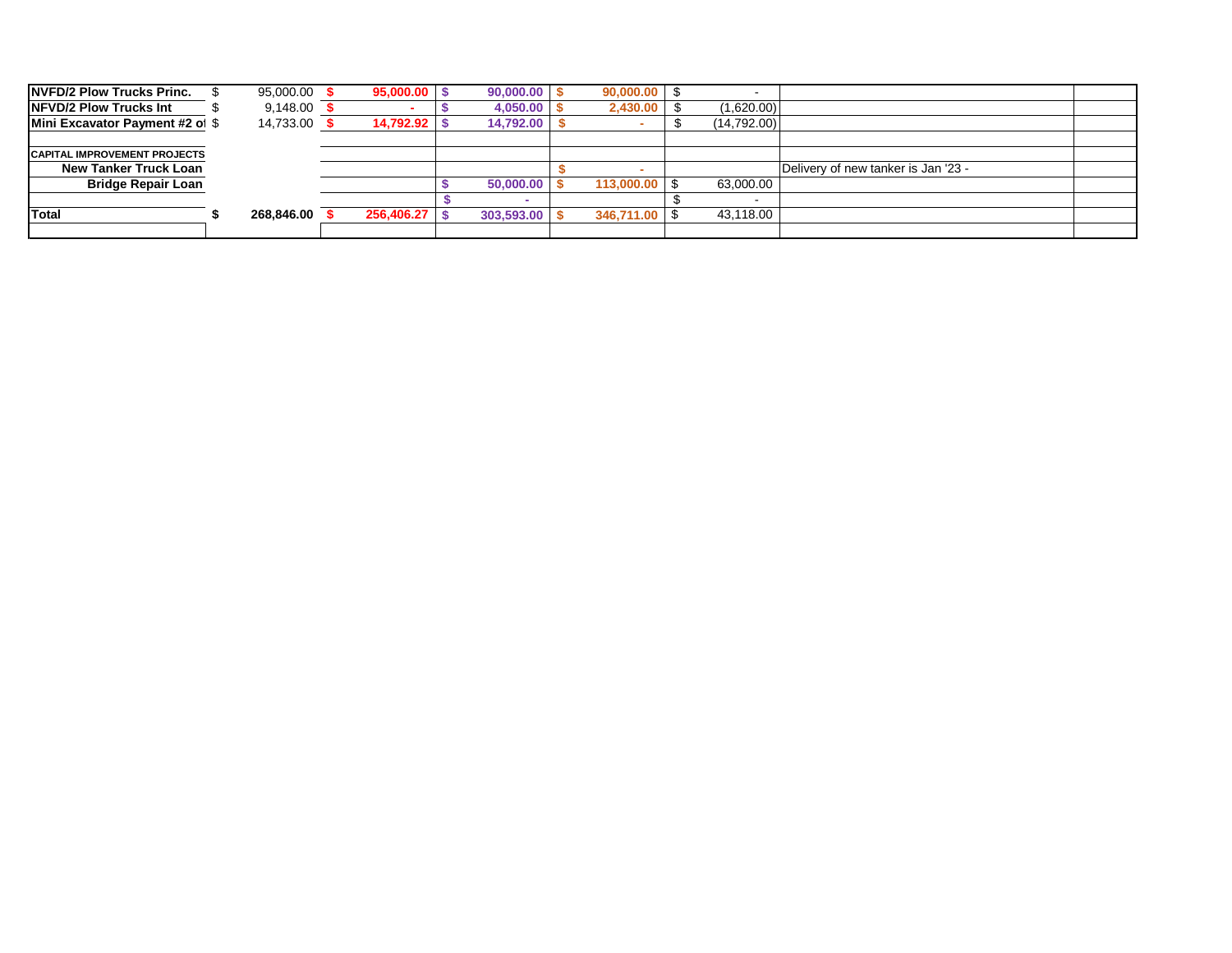| <b>NVFD/2 Plow Trucks Princ.</b>    | 95,000.00 \$ | 95,000.00  | 90,000,00  | 90,000.00     |             |                                     |
|-------------------------------------|--------------|------------|------------|---------------|-------------|-------------------------------------|
| <b>INFVD/2 Plow Trucks Int</b>      | $9,148.00$ : |            | 4,050.00   | 2,430.00      | (1,620.00)  |                                     |
| Mini Excavator Payment #2 of \$     | 14,733.00    | 14,792.92  | 14,792.00  |               | (14,792.00) |                                     |
|                                     |              |            |            |               |             |                                     |
| <b>CAPITAL IMPROVEMENT PROJECTS</b> |              |            |            |               |             |                                     |
| New Tanker Truck Loan               |              |            |            |               |             | Delivery of new tanker is Jan '23 - |
| <b>Bridge Repair Loan</b>           |              |            | 50,000,00  | 113,000.00 \$ | 63,000.00   |                                     |
|                                     |              |            |            |               |             |                                     |
| Total                               | 268.846.00   | 256,406.27 | 303,593.00 | 346,711.00    | 43,118.00   |                                     |
|                                     |              |            |            |               |             |                                     |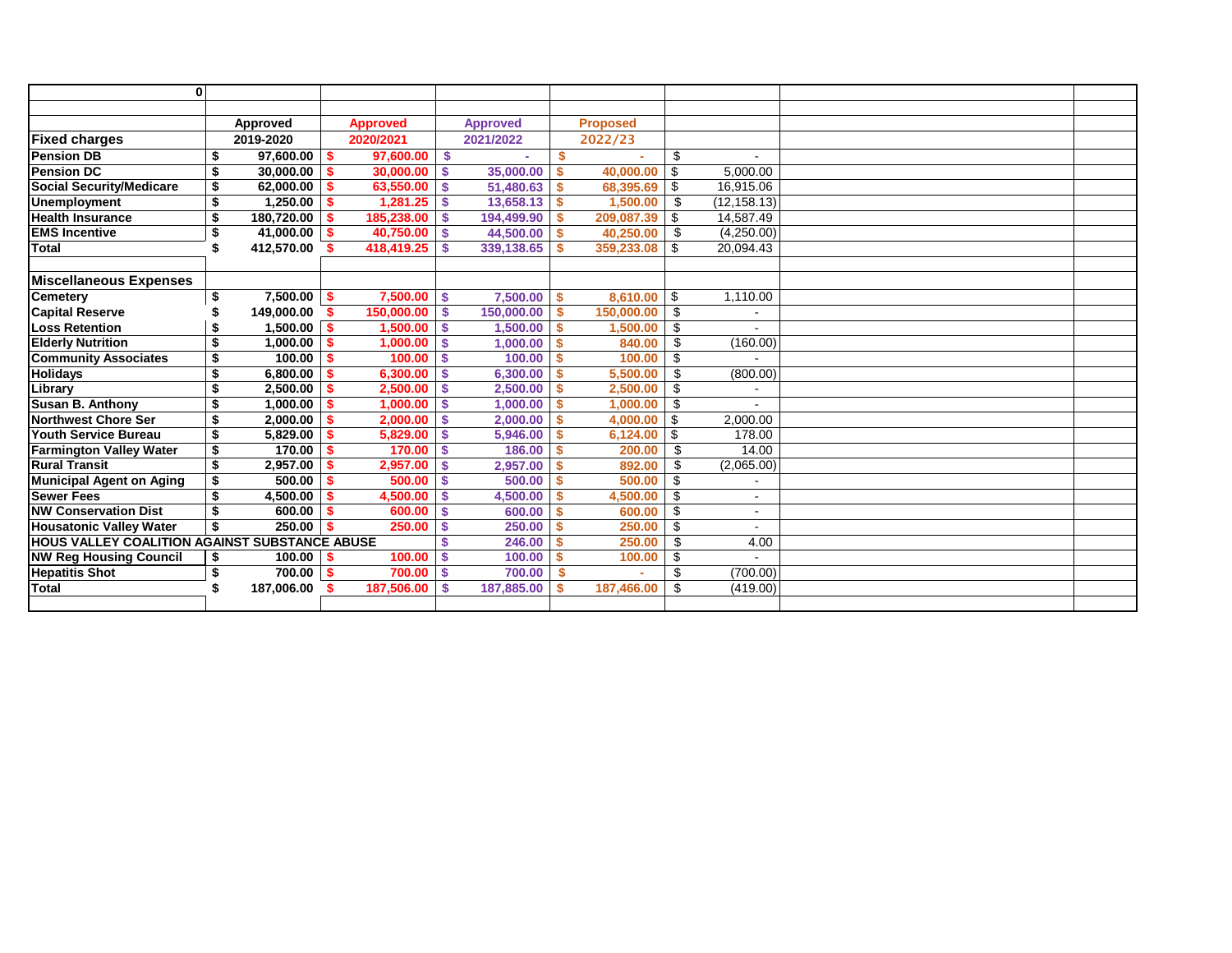| $\mathbf{0}$                                  |                         |                |              |                 |    |                 |          |                 |     |              |  |
|-----------------------------------------------|-------------------------|----------------|--------------|-----------------|----|-----------------|----------|-----------------|-----|--------------|--|
|                                               |                         |                |              |                 |    |                 |          |                 |     |              |  |
|                                               |                         | Approved       |              | <b>Approved</b> |    | <b>Approved</b> |          | <b>Proposed</b> |     |              |  |
| <b>Fixed charges</b>                          |                         | 2019-2020      |              | 2020/2021       |    | 2021/2022       |          | 2022/23         |     |              |  |
| <b>Pension DB</b>                             | \$                      | 97.600.00      | l S          | 97.600.00       | S. |                 | \$       |                 | \$  | $\sim$       |  |
| <b>Pension DC</b>                             | \$                      | 30,000.00      | - \$         | 30,000.00       | \$ | 35,000.00       |          | 40.000.00       | \$  | 5.000.00     |  |
| <b>Social Security/Medicare</b>               | \$                      | 62,000.00      | $\sim$       | 63,550.00       | \$ | 51,480.63       | S        | 68,395.69       | \$  | 16,915.06    |  |
| <b>Unemployment</b>                           | \$                      | 1,250.00       | $\mathsf{I}$ | 1,281.25        | \$ | 13,658.13       | \$       | 1,500.00        | \$  | (12, 158.13) |  |
| <b>Health Insurance</b>                       | \$                      | 180,720.00     | - \$         | 185,238.00      | \$ | 194,499.90      | S        | 209,087.39      | \$  | 14,587.49    |  |
| <b>EMS Incentive</b>                          | \$                      | $41,000.00$ \$ |              | 40.750.00       | \$ | 44,500.00       | S.       | 40.250.00       | \$  | (4,250.00)   |  |
| <b>Total</b>                                  |                         | 412.570.00     |              | 418,419.25      | \$ | 339,138.65      |          | 359,233.08      | \$  | 20.094.43    |  |
|                                               |                         |                |              |                 |    |                 |          |                 |     |              |  |
| Miscellaneous Expenses                        |                         |                |              |                 |    |                 |          |                 |     |              |  |
| Cemetery                                      | \$                      | $7,500.00$ \$  |              | 7.500.00        | \$ | 7,500.00        | \$       | 8.610.00        | \$  | 1,110.00     |  |
| <b>Capital Reserve</b>                        |                         | 149.000.00     | - \$         | 150.000.00      | \$ | 150,000,00      | S        | 150.000.00      | \$  |              |  |
| Loss Retention                                | S                       | 1,500.00       | <b>IS</b>    | 1.500.00        | \$ | 1,500.00        | S.       | 1,500.00        | \$  |              |  |
| <b>Elderly Nutrition</b>                      | \$                      | 1,000.00       | $\sim$       | 1,000.00        | \$ | 1,000.00        | <b>S</b> | 840.00          | \$  | (160.00)     |  |
| <b>Community Associates</b>                   | \$                      | 100.00         | l S          | 100.00          | \$ | 100.00          | \$       | 100.00          | \$  |              |  |
| Holidays                                      | \$                      | 6.800.00       | -\$          | 6,300.00        | \$ | 6,300.00        | \$       | 5,500.00        | \$  | (800.00)     |  |
| Library                                       | \$                      | 2,500.00       | - \$         | 2,500.00        | \$ | 2,500.00        | \$       | 2,500.00        | £.  |              |  |
| Susan B. Anthony                              | \$                      | 1,000.00       | - \$         | 1.000.00        | Ś  | 1.000.00        |          | 1.000.00        | \$  |              |  |
| Northwest Chore Ser                           | \$                      | 2.000.00       | -\$          | 2.000.00        | \$ | 2.000.00        |          | 4.000.00        | \$  | 2,000.00     |  |
| Youth Service Bureau                          | \$                      | 5,829.00       | -\$          | 5,829.00        | \$ | 5,946.00        | S        | 6,124.00        | \$  | 178.00       |  |
| <b>Farmington Valley Water</b>                | \$                      | 170.00         | - \$         | 170.00          | \$ | 186.00          |          | 200.00          | \$  | 14.00        |  |
| <b>Rural Transit</b>                          | $\overline{\mathbf{3}}$ | 2,957.00       | -\$          | 2,957.00        | \$ | 2,957.00        |          | 892.00          | \$  | (2,065.00)   |  |
| Municipal Agent on Aging                      | \$                      | 500.00         | -\$          | 500.00          | \$ | 500.00          |          | 500.00          | \$  |              |  |
| <b>Sewer Fees</b>                             | \$                      | 4.500.00       | S.           | 4,500.00        | \$ | 4.500.00        |          | 4.500.00        | \$  | $\sim$       |  |
| <b>NW Conservation Dist</b>                   | \$                      | 600.00         | - \$         | 600.00          | \$ | 600.00          |          | 600.00          | \$  | ÷.           |  |
| <b>Housatonic Valley Water</b>                | \$                      | 250.00         | $\sim$       | 250.00          | \$ | 250.00          |          | 250.00          | \$  |              |  |
| HOUS VALLEY COALITION AGAINST SUBSTANCE ABUSE |                         |                |              |                 |    | 246.00          |          | 250.00          | \$  | 4.00         |  |
| <b>NW Reg Housing Council</b>                 | \$                      | $100.00$   \$  |              | 100.00          | \$ | 100.00          |          | 100.00          | \$  |              |  |
| <b>Hepatitis Shot</b>                         | \$                      | $700.00$   \$  |              | 700.00          | \$ | 700.00          | \$       |                 | \$  | (700.00)     |  |
| <b>Total</b>                                  | \$                      | 187,006.00     |              | 187,506.00      | \$ | 187.885.00      |          | 187.466.00      | \$. | (419.00)     |  |
|                                               |                         |                |              |                 |    |                 |          |                 |     |              |  |